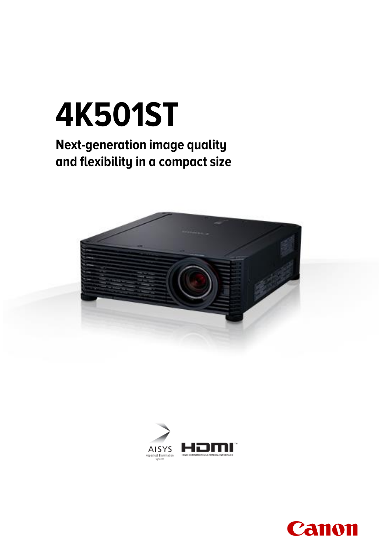# **4K501ST**

### **Next-generation image quality and flexibility in a compact size**





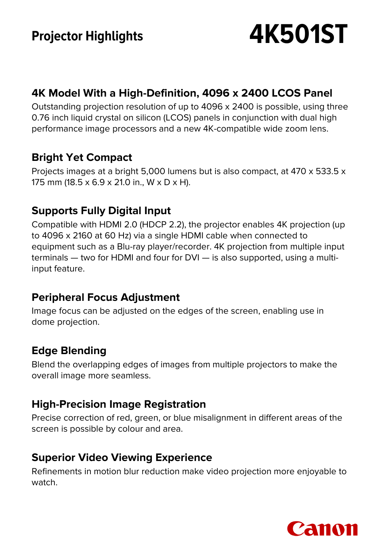## **Projector Highlights 4K501ST**

#### **4K Model With a High-Definition, 4096 x 2400 LCOS Panel**

Outstanding projection resolution of up to 4096 x 2400 is possible, using three 0.76 inch liquid crystal on silicon (LCOS) panels in conjunction with dual high performance image processors and a new 4K-compatible wide zoom lens.

#### **Bright Yet Compact**

Projects images at a bright 5,000 lumens but is also compact, at 470 x 533.5 x 175 mm (18.5 x 6.9 x 21.0 in., W x D x H).

#### **Supports Fully Digital Input**

Compatible with HDMI 2.0 (HDCP 2.2), the projector enables 4K projection (up to 4096 x 2160 at 60 Hz) via a single HDMI cable when connected to equipment such as a Blu-ray player/recorder. 4K projection from multiple input terminals — two for HDMI and four for DVI — is also supported, using a multiinput feature.

#### **Peripheral Focus Adjustment**

Image focus can be adjusted on the edges of the screen, enabling use in dome projection.

#### **Edge Blending**

Blend the overlapping edges of images from multiple projectors to make the overall image more seamless.

#### **High-Precision Image Registration**

Precise correction of red, green, or blue misalignment in different areas of the screen is possible by colour and area.

#### **Superior Video Viewing Experience**

Refinements in motion blur reduction make video projection more enjoyable to watch.

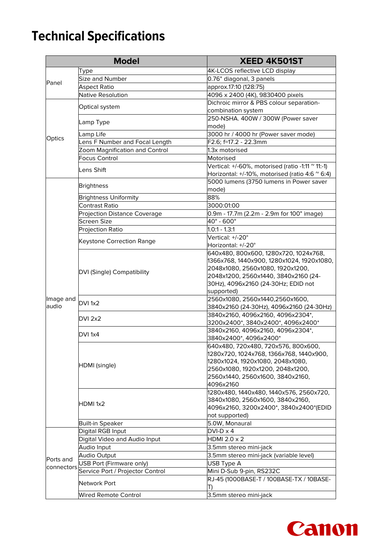## **Technical Specifications**

| <b>Model</b>            |                                  | <b>XEED 4K501ST</b>                                                     |
|-------------------------|----------------------------------|-------------------------------------------------------------------------|
|                         | Type                             | 4K-LCOS reflective LCD display                                          |
| Panel                   | Size and Number                  | 0.76" diagonal, 3 panels                                                |
|                         | <b>Aspect Ratio</b>              | approx.17:10 (128:75)                                                   |
|                         | Native Resolution                | 4096 x 2400 (4K), 9830400 pixels                                        |
| Optics                  | Optical system                   | Dichroic mirror & PBS colour separation-                                |
|                         |                                  | combination system                                                      |
|                         |                                  | 250-NSHA. 400W / 300W (Power saver                                      |
|                         | Lamp Type                        | mode)                                                                   |
|                         | Lamp Life                        | 3000 hr / 4000 hr (Power saver mode)                                    |
|                         | Lens F Number and Focal Length   | F2.6; f=17.2 - 22.3mm                                                   |
|                         | Zoom Magnification and Control   | 1.3x motorised                                                          |
|                         | Focus Control                    | Motorised                                                               |
|                         |                                  | Vertical: +/-60%, motorised (ratio -1:11 $^{\circ}$ 11:-1)              |
|                         | lLens Shift                      | Horizontal: +/-10%, motorised (ratio 4:6 $\degree$ 6:4)                 |
|                         | <b>Brightness</b>                | 5000 lumens (3750 lumens in Power saver                                 |
|                         |                                  | mode)                                                                   |
|                         | <b>Brightness Uniformity</b>     | 88%                                                                     |
|                         | Contrast Ratio                   | 3000:01:00                                                              |
|                         | Projection Distance Coverage     | 0.9m - 17.7m (2.2m - 2.9m for 100" image)                               |
|                         | Screen Size                      | 40" - 600"                                                              |
|                         | <b>Projection Ratio</b>          | 1.0:1 - 1.3:1                                                           |
|                         | Keystone Correction Range        | Vertical: +/-20°                                                        |
|                         |                                  | Horizontal: +/-20°                                                      |
|                         | DVI (Single) Compatibility       | 640x480, 800x600, 1280x720, 1024x768,                                   |
| lmage and<br>laudio     |                                  | 1366x768, 1440x900, 1280x1024, 1920x1080,                               |
|                         |                                  | 2048x1080, 2560x1080, 1920x1200,                                        |
|                         |                                  | 2048x1200, 2560x1440, 3840x2160 (24-                                    |
|                         |                                  | 30Hz), 4096x2160 (24-30Hz; EDID not                                     |
|                         |                                  | supported)                                                              |
|                         | DVI 1x2                          | 2560x1080, 2560x1440,2560x1600,                                         |
|                         |                                  | 3840x2160 (24-30Hz), 4096x2160 (24-30Hz)                                |
|                         | DVI 2x2                          | 3840x2160, 4096x2160, 4096x2304*,<br>3200x2400*, 3840x2400*, 4096x2400* |
|                         |                                  | 3840x2160, 4096x2160, 4096x2304*,                                       |
|                         | DVI 1x4                          | 3840x2400*, 4096x2400*                                                  |
|                         | HDMI (single)                    | 640x480, 720x480, 720x576, 800x600,                                     |
|                         |                                  | 1280x720, 1024x768, 1366x768, 1440x900,                                 |
|                         |                                  | 1280x1024, 1920x1080, 2048x1080,                                        |
|                         |                                  | 2560x1080, 1920x1200, 2048x1200,                                        |
|                         |                                  | 2560x1440, 2560x1600, 3840x2160,                                        |
|                         |                                  | 4096x2160                                                               |
|                         | HDMI 1x2                         | 1280x480, 1440x480, 1440x576, 2560x720,                                 |
|                         |                                  | 3840x1080, 2560x1600, 3840x2160,                                        |
|                         |                                  | 4096x2160, 3200x2400*, 3840x2400*(EDID                                  |
|                         |                                  | not supported)                                                          |
|                         | Built-in Speaker                 | 5.0W, Monaural                                                          |
| Ports and<br>connectors | Digital RGB Input                | $DVI-D \times 4$                                                        |
|                         | Digital Video and Audio Input    | HDMI 2.0 x 2                                                            |
|                         | Audio Input                      | 3.5mm stereo mini-jack                                                  |
|                         | Audio Output                     | 3.5mm stereo mini-jack (variable level)                                 |
|                         | USB Port (Firmware only)         | USB Type A                                                              |
|                         | Service Port / Projector Control | Mini D-Sub 9-pin, RS232C                                                |
|                         | Network Port                     | RJ-45 (1000BASE-T / 100BASE-TX / 10BASE-                                |
|                         |                                  | T)                                                                      |
|                         | Wired Remote Control             | 3.5mm stereo mini-jack                                                  |